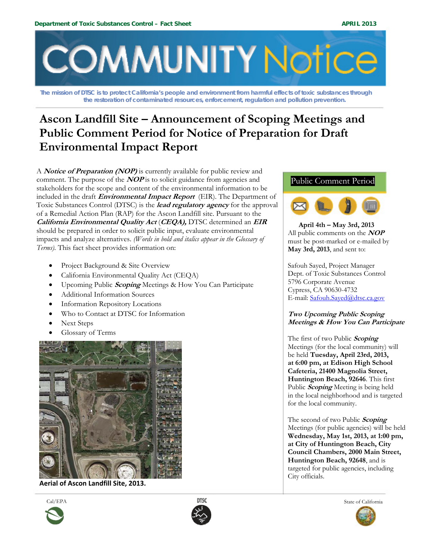

**The mission of DTSC is to protect California's people and environment from harmful effects of toxic substances through the restoration of contaminated resources, enforcement, regulation and pollution prevention.** 

# **Ascon Landfill Site – Announcement of Scoping Meetings and Public Comment Period for Notice of Preparation for Draft Environmental Impact Report**

A **Notice of Preparation (NOP)** is currently available for public review and comment. The purpose of the **NOP** is to solicit guidance from agencies and stakeholders for the scope and content of the environmental information to be included in the draft **Environmental Impact Report** (EIR). The Department of Toxic Substances Control (DTSC) is the **lead regulatory agency** for the approval of a Remedial Action Plan (RAP) for the Ascon Landfill site. Pursuant to the **California Environmental Quality Act** (**CEQA),** DTSC determined an **EIR** should be prepared in order to solicit public input, evaluate environmental impacts and analyze alternatives. *(Words in bold and italics appear in the Glossary of Terms).* This fact sheet provides information on:

- Project Background & Site Overview
- California Environmental Quality Act (CEQA)
- Upcoming Public **Scoping** Meetings & How You Can Participate
- Additional Information Sources
- Information Repository Locations
- Who to Contact at DTSC for Information
- Next Steps
- Glossary of Terms



**Aerial of Ascon Landfill Site, 2013.**





# Public Comment Period



 **April 4th – May 3rd, 2013** All public comments on the **NOP** must be post-marked or e-mailed by **May 3rd, 2013**, and sent to:

Safouh Sayed, Project Manager Dept. of Toxic Substances Control 5796 Corporate Avenue Cypress, CA 90630-4732 E-mail: Safouh.Sayed@dtsc.ca.gov

### **Two Upcoming Public Scoping Meetings & How You Can Participate**

The first of two Public **Scoping**  Meetings (for the local community) will be held **Tuesday, April 23rd, 2013, at 6:00 pm, at Edison High School Cafeteria, 21400 Magnolia Street, Huntington Beach, 92646**. This first Public **Scoping** Meeting is being held in the local neighborhood and is targeted for the local community.

The second of two Public **Scoping** Meetings (for public agencies) will be held **Wednesday, May 1st, 2013, at 1:00 pm, at City of Huntington Beach, City Council Chambers, 2000 Main Street, Huntington Beach, 92648**, and is targeted for public agencies, including City officials.

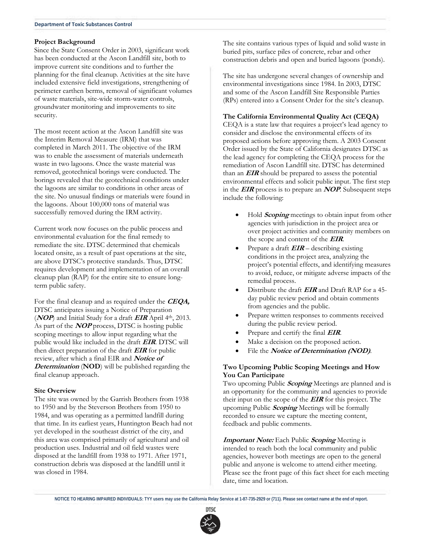#### **Project Background**

Since the State Consent Order in 2003, significant work has been conducted at the Ascon Landfill site, both to improve current site conditions and to further the planning for the final cleanup. Activities at the site have included extensive field investigations, strengthening of perimeter earthen berms, removal of significant volumes of waste materials, site-wide storm-water controls, groundwater monitoring and improvements to site security.

The most recent action at the Ascon Landfill site was the Interim Removal Measure (IRM) that was completed in March 2011. The objective of the IRM was to enable the assessment of materials underneath waste in two lagoons. Once the waste material was removed, geotechnical borings were conducted. The borings revealed that the geotechnical conditions under the lagoons are similar to conditions in other areas of the site. No unusual findings or materials were found in the lagoons. About 100,000 tons of material was successfully removed during the IRM activity.

Current work now focuses on the public process and environmental evaluation for the final remedy to remediate the site. DTSC determined that chemicals located onsite, as a result of past operations at the site, are above DTSC's protective standards. Thus, DTSC requires development and implementation of an overall cleanup plan (RAP) for the entire site to ensure longterm public safety.

For the final cleanup and as required under the **CEQA,**  DTSC anticipates issuing a Notice of Preparation (**NOP**) and Initial Study for a draft **EIR** April 4th, 2013. As part of the **NOP** process, DTSC is hosting public scoping meetings to allow input regarding what the public would like included in the draft **EIR**. DTSC will then direct preparation of the draft **EIR** for public review, after which a final EIR and **Notice of Determination** (**NOD**) will be published regarding the final cleanup approach.

#### **Site Overview**

The site was owned by the Garrish Brothers from 1938 to 1950 and by the Steverson Brothers from 1950 to 1984, and was operating as a permitted landfill during that time. In its earliest years, Huntington Beach had not yet developed in the southeast district of the city, and this area was comprised primarily of agricultural and oil production uses. Industrial and oil field wastes were disposed at the landfill from 1938 to 1971. After 1971, construction debris was disposed at the landfill until it was closed in 1984.

The site contains various types of liquid and solid waste in buried pits, surface piles of concrete, rebar and other construction debris and open and buried lagoons (ponds).

The site has undergone several changes of ownership and environmental investigations since 1984. In 2003, DTSC and some of the Ascon Landfill Site Responsible Parties (RPs) entered into a Consent Order for the site's cleanup.

#### **The California Environmental Quality Act (CEQA)**

CEQA is a state law that requires a project's lead agency to consider and disclose the environmental effects of its proposed actions before approving them. A 2003 Consent Order issued by the State of California designates DTSC as the lead agency for completing the CEQA process for the remediation of Ascon Landfill site. DTSC has determined than an **EIR** should be prepared to assess the potential environmental effects and solicit public input. The first step in the **EIR** process is to prepare an **NOP**. Subsequent steps include the following:

- Hold **Scoping** meetings to obtain input from other agencies with jurisdiction in the project area or over project activities and community members on the scope and content of the **EIR**.
- Prepare a draft **EIR** describing existing conditions in the project area, analyzing the project's potential effects, and identifying measures to avoid, reduce, or mitigate adverse impacts of the remedial process.
- Distribute the draft **EIR** and Draft RAP for a 45 day public review period and obtain comments from agencies and the public.
- Prepare written responses to comments received during the public review period.
- Prepare and certify the final **EIR**.
- Make a decision on the proposed action.
- File the **Notice of Determination (NOD)**.

#### **Two Upcoming Public Scoping Meetings and How You Can Participate**

Two upcoming Public **Scoping** Meetings are planned and is an opportunity for the community and agencies to provide their input on the scope of the **EIR** for this project. The upcoming Public **Scoping** Meetings will be formally recorded to ensure we capture the meeting content, feedback and public comments.

**Important Note:** Each Public **Scoping** Meeting is intended to reach both the local community and public agencies, however both meetings are open to the general public and anyone is welcome to attend either meeting. Please see the front page of this fact sheet for each meeting date, time and location.

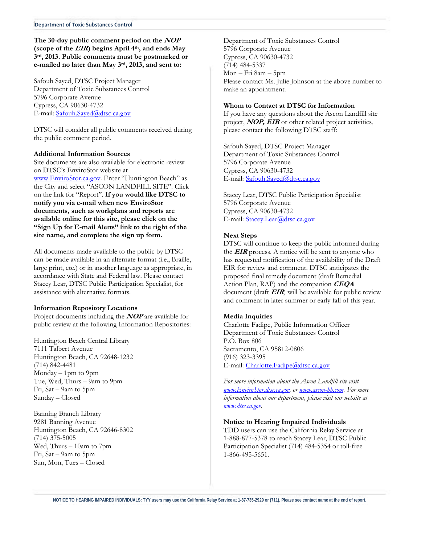#### **The 30-day public comment period on the NOP (scope of the EIR) begins April 4th, and ends May 3rd, 2013. Public comments must be postmarked or e-mailed no later than May 3rd, 2013, and sent to:**

Safouh Sayed, DTSC Project Manager Department of Toxic Substances Control 5796 Corporate Avenue Cypress, CA 90630-4732 E-mail: Safouh.Sayed@dtsc.ca.gov

DTSC will consider all public comments received during the public comment period.

#### **Additional Information Sources**

Site documents are also available for electronic review on DTSC's EnviroStor website at www.EnviroStor.ca.gov. Enter "Huntington Beach" as the City and select "ASCON LANDFILL SITE". Click on the link for "Report". **If you would like DTSC to notify you via e-mail when new EnviroStor documents, such as workplans and reports are available online for this site, please click on the "Sign Up for E-mail Alerts" link to the right of the site name, and complete the sign up form.**

All documents made available to the public by DTSC can be made available in an alternate format (i.e., Braille, large print, etc.) or in another language as appropriate, in accordance with State and Federal law. Please contact Stacey Lear, DTSC Public Participation Specialist, for assistance with alternative formats.

#### **Information Repository Locations**

Project documents including the **NOP** are available for public review at the following Information Repositories:

Huntington Beach Central Library 7111 Talbert Avenue Huntington Beach, CA 92648-1232 (714) 842-4481 Monday – 1pm to 9pm Tue, Wed, Thurs – 9am to 9pm Fri, Sat – 9am to 5pm Sunday – Closed

Banning Branch Library 9281 Banning Avenue Huntington Beach, CA 92646-8302 (714) 375-5005 Wed, Thurs – 10am to 7pm Fri, Sat – 9am to 5pm Sun, Mon, Tues – Closed

Department of Toxic Substances Control 5796 Corporate Avenue Cypress, CA 90630-4732 (714) 484-5337 Mon – Fri 8am – 5pm Please contact Ms. Julie Johnson at the above number to make an appointment.

#### **Whom to Contact at DTSC for Information**

If you have any questions about the Ascon Landfill site project, **NOP, EIR** or other related project activities, please contact the following DTSC staff:

Safouh Sayed, DTSC Project Manager Department of Toxic Substances Control 5796 Corporate Avenue Cypress, CA 90630-4732 E-mail: Safouh.Sayed@dtsc.ca.gov

Stacey Lear, DTSC Public Participation Specialist 5796 Corporate Avenue Cypress, CA 90630-4732 E-mail: Stacey.Lear@dtsc.ca.gov

#### **Next Steps**

DTSC will continue to keep the public informed during the **EIR** process. A notice will be sent to anyone who has requested notification of the availability of the Draft EIR for review and comment. DTSC anticipates the proposed final remedy document (draft Remedial Action Plan, RAP) and the companion **CEQA**  document (draft **EIR**) will be available for public review and comment in later summer or early fall of this year.

#### **Media Inquiries**

Charlotte Fadipe, Public Information Officer Department of Toxic Substances Control P.O. Box 806 Sacramento, CA 95812-0806 (916) 323-3395 E-mail: Charlotte.Fadipe@dtsc.ca.gov

*For more information about the Ascon Landfill site visit www.EnviroStor.dtsc.ca.gov, or www.ascon-hb.com. For more information about our department, please visit our website at www.dtsc.ca.gov.* 

#### **Notice to Hearing Impaired Individuals**

TDD users can use the California Relay Service at 1-888-877-5378 to reach Stacey Lear, DTSC Public Participation Specialist (714) 484-5354 or toll-free 1-866-495-5651.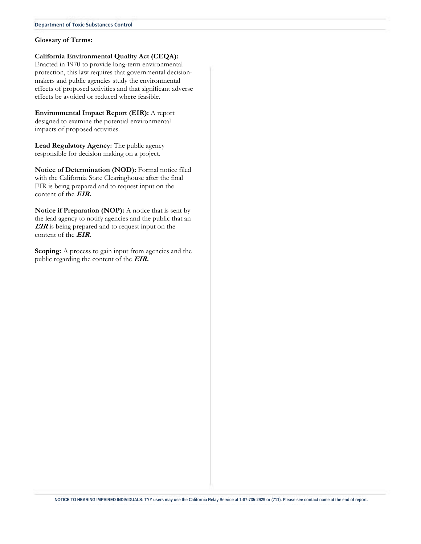#### **Department of Toxic Substances Control**

#### **Glossary of Terms:**

**California Environmental Quality Act (CEQA):** 

Enacted in 1970 to provide long-term environmental protection, this law requires that governmental decisionmakers and public agencies study the environmental effects of proposed activities and that significant adverse effects be avoided or reduced where feasible.

**Environmental Impact Report (EIR):** A report designed to examine the potential environmental impacts of proposed activities.

**Lead Regulatory Agency:** The public agency responsible for decision making on a project.

**Notice of Determination (NOD):** Formal notice filed with the California State Clearinghouse after the final EIR is being prepared and to request input on the content of the **EIR.**

**Notice if Preparation (NOP):** A notice that is sent by the lead agency to notify agencies and the public that an **EIR** is being prepared and to request input on the content of the **EIR.**

**Scoping:** A process to gain input from agencies and the public regarding the content of the **EIR.**